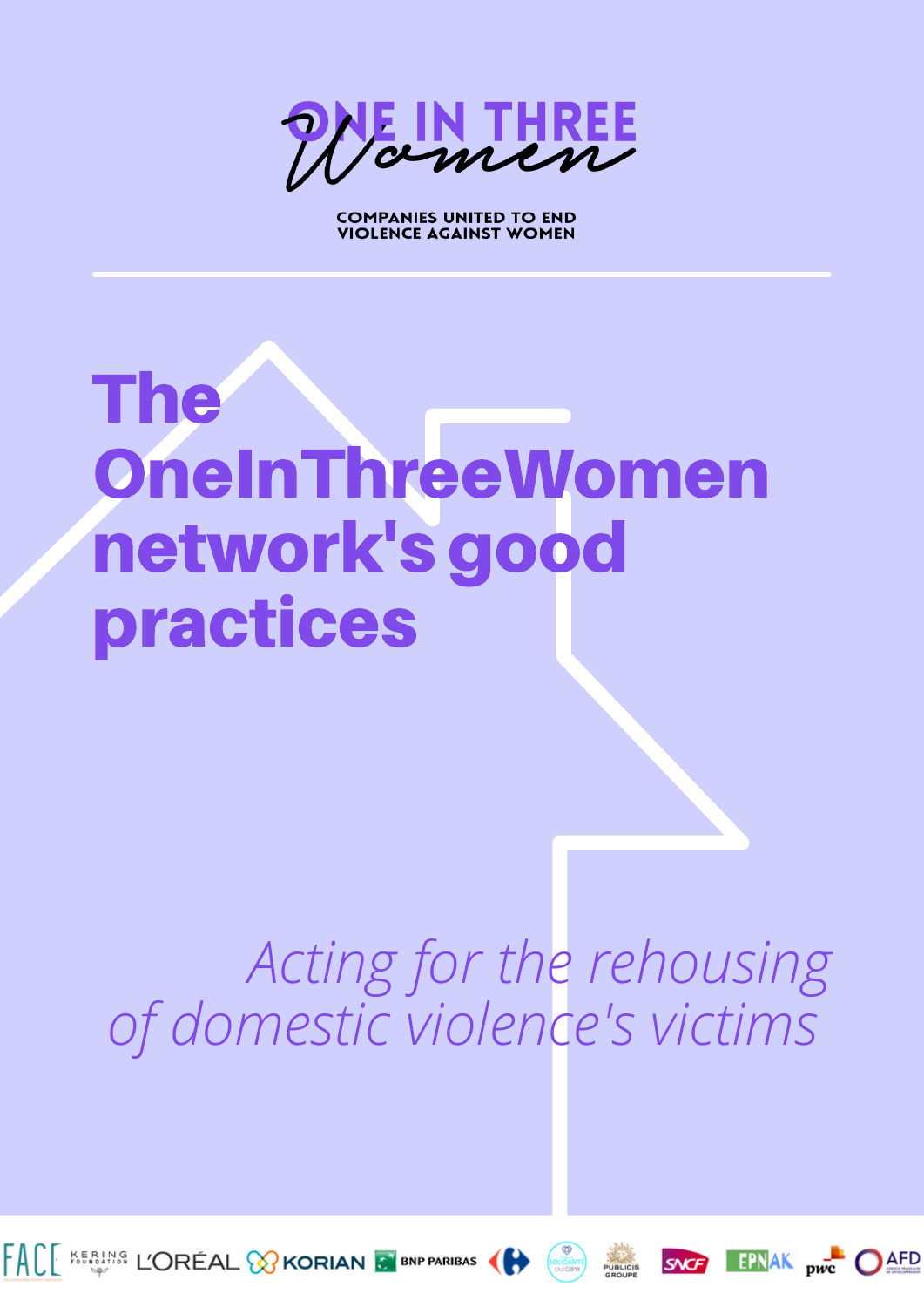E IN THREE

**COMPANIES UNITED TO END** VIOLENCE AGAINST WOMEN

# The OneInThreeWomen network's good practices

# *Acting for the rehousing of domestic violence's victims*









 $EPNAK$  pwc

AFD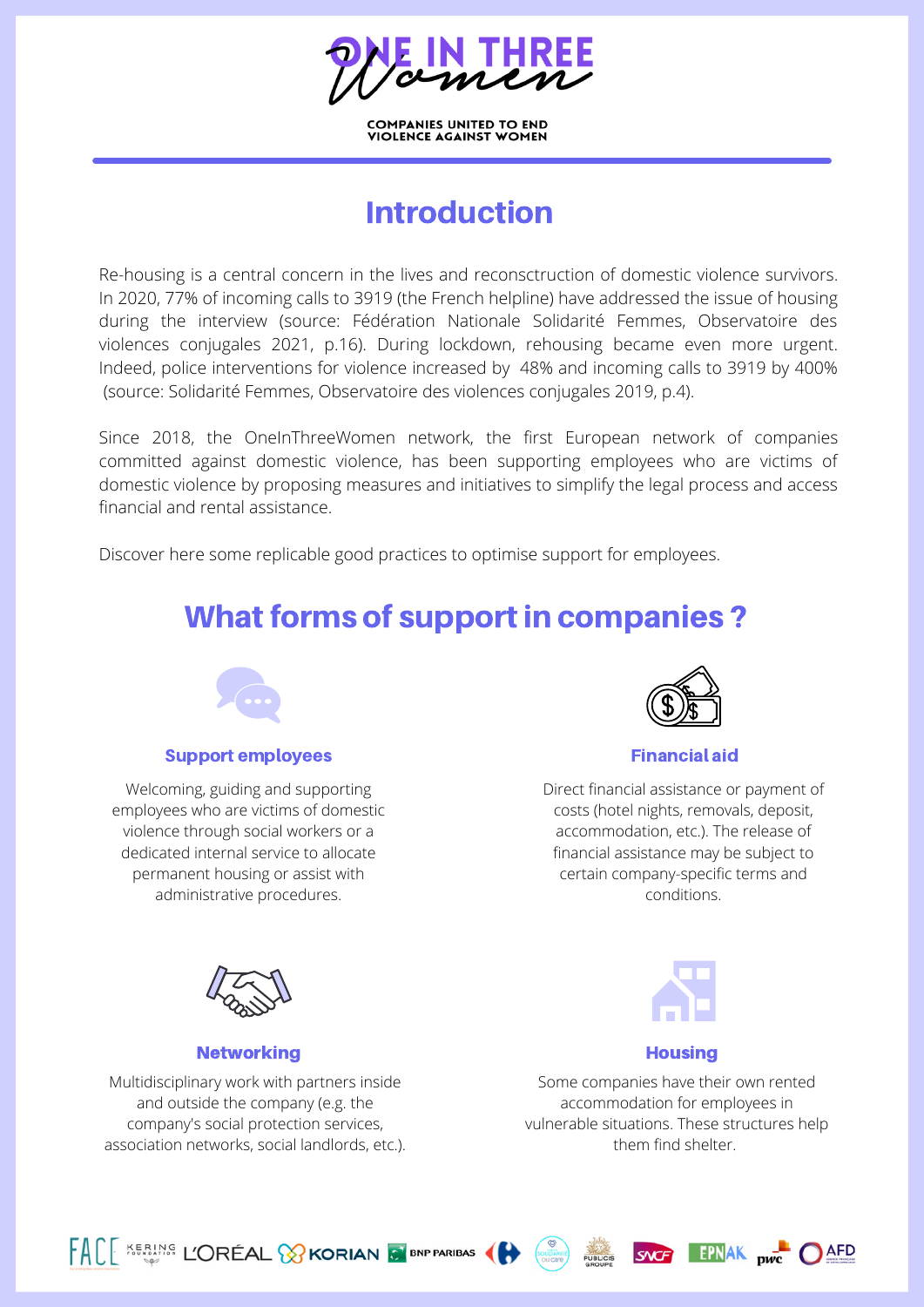**COMPANIES UNITED TO END<br>VIOLENCE AGAINST WOMEN** 

# Introduction

Re-housing is a central concern in the lives and reconsctruction of domestic violence survivors. In 2020, 77% of incoming calls to 3919 (the French helpline) have addressed the issue of housing during the interview (source: Fédération Nationale Solidarité Femmes, Observatoire des violences conjugales 2021, p.16). During lockdown, rehousing became even more urgent. Indeed, police interventions for violence increased by 48% and incoming calls to 3919 by 400% (source: Solidarité Femmes, Observatoire des violences conjugales 2019, p.4).

Since 2018, the OneInThreeWomen network, the first European network of companies committed against domestic violence, has been supporting employees who are victims of domestic violence by proposing measures and initiatives to simplify the legal process and access financial and rental assistance.

Discover here some replicable good practices to optimise support for employees.

# What forms of support in companies ?



#### Support employees expansion of the Support employees of the Support of the Financial aid

Welcoming, guiding and supporting employees who are victims of domestic violence through social workers or a dedicated internal service to allocate permanent housing or assist with administrative procedures.



Direct financial assistance or payment of costs (hotel nights, removals, deposit, accommodation, etc.). The release of financial assistance may be subject to certain company-specific terms and conditions.



#### Networking **Housing Housing**

Multidisciplinary work with partners inside and outside the company (e.g. the company's social protection services, association networks, social landlords, etc.).

FACE KERING L'ORÉAL & KORIAN & BNP PARIBAS



Some companies have their own rented accommodation for employees in vulnerable situations. These structures help them find shelter.

**SNCF** 

**EPNAK** pwc OAFD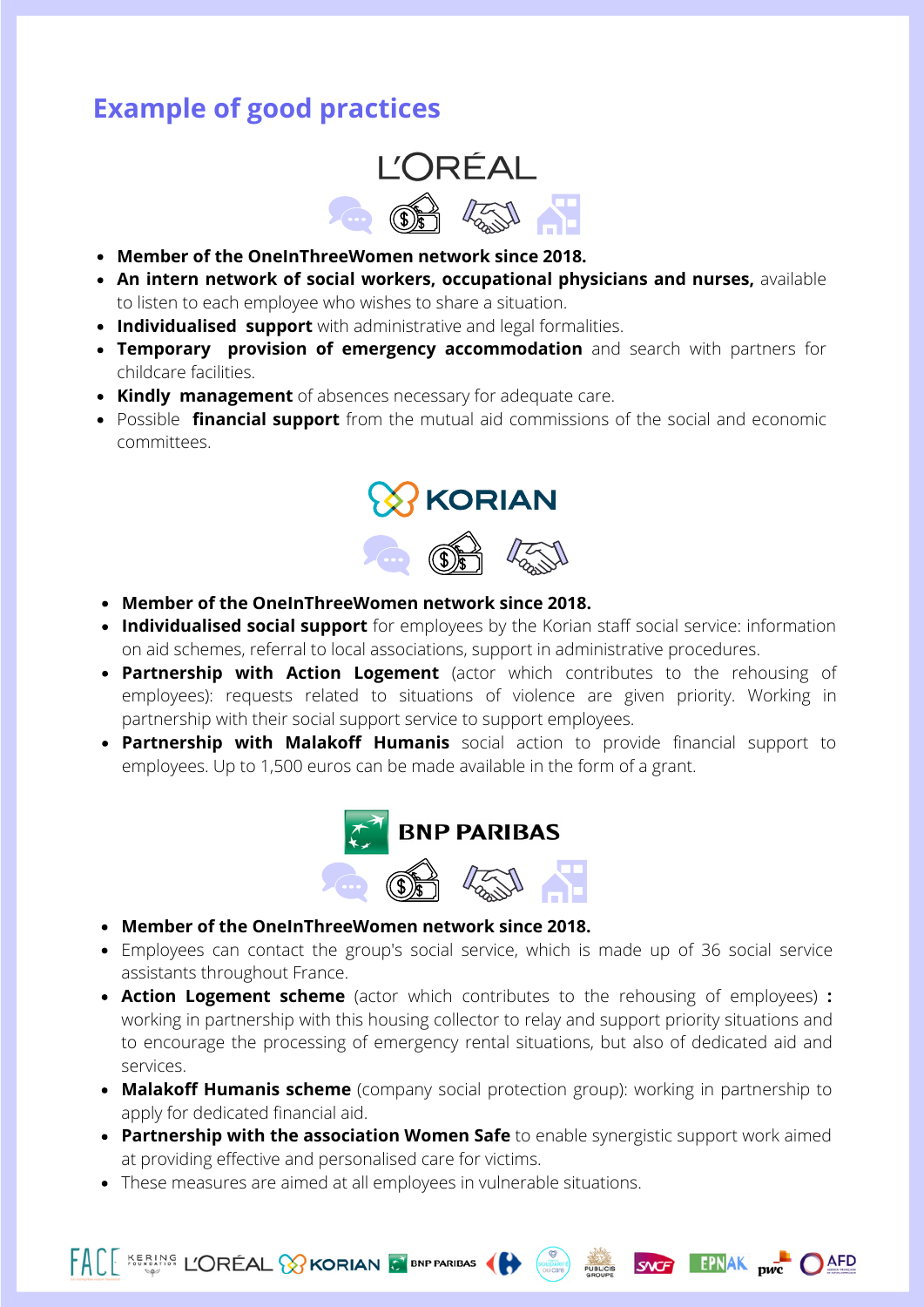## **Example of good practices**



- **Member of the OneInThreeWomen network since 2018.**
- **An intern network of social workers, occupational physicians and nurses,** available to listen to each employee who wishes to share a situation.
- **Individualised support** with administrative and legal formalities.
- **Temporary provision of emergency accommodation** and search with partners for childcare facilities.
- **Kindly management** of absences necessary for adequate care.
- Possible **financial support** from the mutual aid commissions of the social and economic committees.



- **Member of the OneInThreeWomen network since 2018.**
- **Individualised social support** for employees by the Korian staff social service: information on aid schemes, referral to local associations, support in administrative procedures.
- **Partnership with Action Logement** (actor which contributes to the rehousing of employees): requests related to situations of violence are given priority. Working in partnership with their social support service to support employees.
- **Partnership with Malakoff Humanis** social action to provide financial support to employees. Up to 1,500 euros can be made available in the form of a grant.



- **Member of the OneInThreeWomen network since 2018.**
- Employees can contact the group's social service, which is made up of 36 social service assistants throughout France.
- **Action Logement scheme** (actor which contributes to the rehousing of employees) **:** working in partnership with this housing collector to relay and support priority situations and to encourage the processing of emergency rental situations, but also of dedicated aid and services.
- **Malakoff Humanis scheme** (company social protection group): working in partnership to apply for dedicated financial aid.
- **Partnership with the association Women Safe** to enable synergistic support work aimed at providing effective and personalised care for victims.

SNG EPNAK <sub>nwc</sub> OAFD

These measures are aimed at all employees in vulnerable situations.

FACE KERING L'ORÉAL & KORIAN & BNP PARIBAS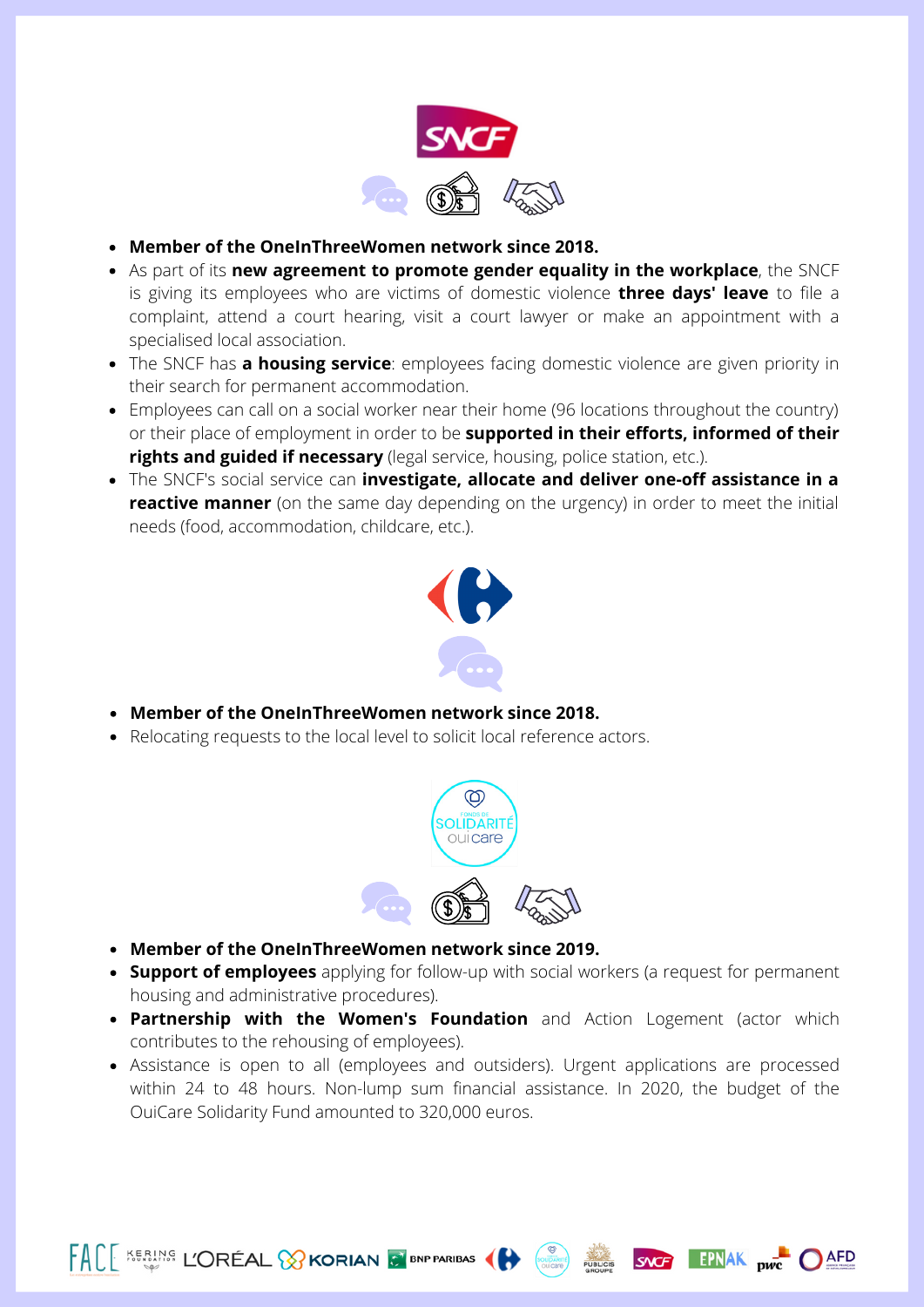

- **Member of the OneInThreeWomen network since 2018.**
- As part of its **new agreement to promote gender equality in the workplace**, the SNCF is giving its employees who are victims of domestic violence **three days' leave** to file a complaint, attend a court hearing, visit a court lawyer or make an appointment with a specialised local association.
- The SNCF has **a housing service**: employees facing domestic violence are given priority in their search for permanent accommodation.
- Employees can call on a social worker near their home (96 locations throughout the country) or their place of employment in order to be **supported in their efforts, informed of their rights and guided if necessary** (legal service, housing, police station, etc.).
- The SNCF's social service can **investigate, allocate and deliver one-off assistance in a reactive manner** (on the same day depending on the urgency) in order to meet the initial needs (food, accommodation, childcare, etc.).



- **Member of the OneInThreeWomen network since 2018.**
- Relocating requests to the local level to solicit local reference actors.



**Member of the OneInThreeWomen network since 2019.**

FACE KERING L'ORÉAL & KORIAN & BNP PARIBAS

- **Support of employees** applying for follow-up with social workers (a request for permanent housing and administrative procedures).
- **Partnership with the Women's Foundation** and Action Logement (actor which contributes to the rehousing of employees).
- Assistance is open to all (employees and outsiders). Urgent applications are processed within 24 to 48 hours. Non-lump sum financial assistance. In 2020, the budget of the OuiCare Solidarity Fund amounted to 320,000 euros.

SNG EPNAK <sub>DWC</sub> OAFD